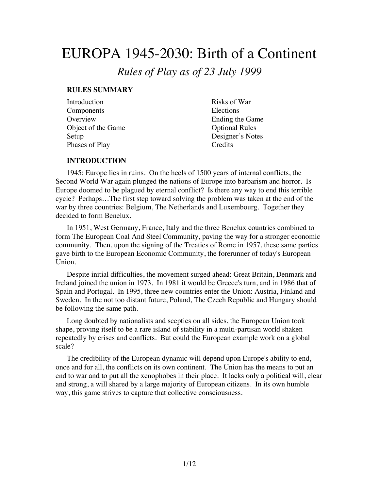# EUROPA 1945-2030: Birth of a Continent

*Rules of Play as of 23 July 1999*

#### **RULES SUMMARY**

| Introduction       | Risks of War          |
|--------------------|-----------------------|
| Components         | Elections             |
| Overview           | Ending the Game       |
| Object of the Game | <b>Optional Rules</b> |
| Setup              | Designer's Notes      |
| Phases of Play     | Credits               |

#### **INTRODUCTION**

1945: Europe lies in ruins. On the heels of 1500 years of internal conflicts, the Second World War again plunged the nations of Europe into barbarism and horror. Is Europe doomed to be plagued by eternal conflict? Is there any way to end this terrible cycle? Perhaps…The first step toward solving the problem was taken at the end of the war by three countries: Belgium, The Netherlands and Luxembourg. Together they decided to form Benelux.

In 1951, West Germany, France, Italy and the three Benelux countries combined to form The European Coal And Steel Community, paving the way for a stronger economic community. Then, upon the signing of the Treaties of Rome in 1957, these same parties gave birth to the European Economic Community, the forerunner of today's European Union.

Despite initial difficulties, the movement surged ahead: Great Britain, Denmark and Ireland joined the union in 1973. In 1981 it would be Greece's turn, and in 1986 that of Spain and Portugal. In 1995, three new countries enter the Union: Austria, Finland and Sweden. In the not too distant future, Poland, The Czech Republic and Hungary should be following the same path.

Long doubted by nationalists and sceptics on all sides, the European Union took shape, proving itself to be a rare island of stability in a multi-partisan world shaken repeatedly by crises and conflicts. But could the European example work on a global scale?

The credibility of the European dynamic will depend upon Europe's ability to end, once and for all, the conflicts on its own continent. The Union has the means to put an end to war and to put all the xenophobes in their place. It lacks only a political will, clear and strong, a will shared by a large majority of European citizens. In its own humble way, this game strives to capture that collective consciousness.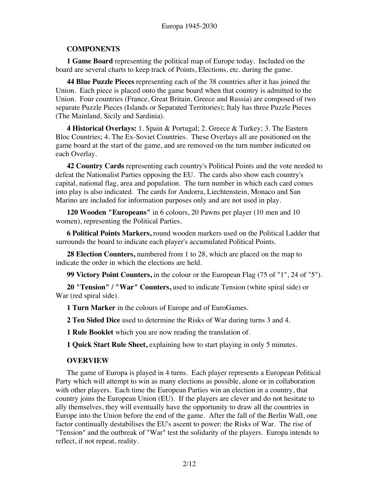# **COMPONENTS**

**1 Game Board** representing the political map of Europe today. Included on the board are several charts to keep track of Points, Elections, etc. during the game.

**44 Blue Puzzle Pieces** representing each of the 38 countries after it has joined the Union. Each piece is placed onto the game board when that country is admitted to the Union. Four countries (France, Great Britain, Greece and Russia) are composed of two separate Puzzle Pieces (Islands or Separated Territories); Italy has three Puzzle Pieces (The Mainland, Sicily and Sardinia).

**4 Historical Overlays:** 1. Spain & Portugal; 2. Greece & Turkey; 3. The Eastern Bloc Countries; 4. The Ex-Soviet Countries. These Overlays all are positioned on the game board at the start of the game, and are removed on the turn number indicated on each Overlay.

**42 Country Cards** representing each country's Political Points and the vote needed to defeat the Nationalist Parties opposing the EU. The cards also show each country's capital, national flag, area and population. The turn number in which each card comes into play is also indicated. The cards for Andorra, Liechtenstein, Monaco and San Marino are included for information purposes only and are not used in play.

**120 Wooden "Europeans"** in 6 colours, 20 Pawns per player (10 men and 10 women), representing the Political Parties.

**6 Political Points Markers,** round wooden markers used on the Political Ladder that surrounds the board to indicate each player's accumulated Political Points.

**28 Election Counters,** numbered from 1 to 28, which are placed on the map to indicate the order in which the elections are held.

**99 Victory Point Counters,** in the colour or the European Flag (75 of "1", 24 of "5").

**20 "Tension" / "War" Counters,** used to indicate Tension (white spiral side) or War (red spiral side).

**1 Turn Marker** in the colours of Europe and of EuroGames.

**2 Ten Sided Dice** used to determine the Risks of War during turns 3 and 4.

**1 Rule Booklet** which you are now reading the translation of.

**1 Quick Start Rule Sheet,** explaining how to start playing in only 5 minutes.

# **OVERVIEW**

The game of Europa is played in 4 turns. Each player represents a European Political Party which will attempt to win as many elections as possible, alone or in collaboration with other players. Each time the European Parties win an election in a country, that country joins the European Union (EU). If the players are clever and do not hesitate to ally themselves, they will eventually have the opportunity to draw all the countries in Europe into the Union before the end of the game. After the fall of the Berlin Wall, one factor continually destabilises the EU's ascent to power: the Risks of War. The rise of "Tension" and the outbreak of "War" test the solidarity of the players. Europa intends to reflect, if not repeat, reality.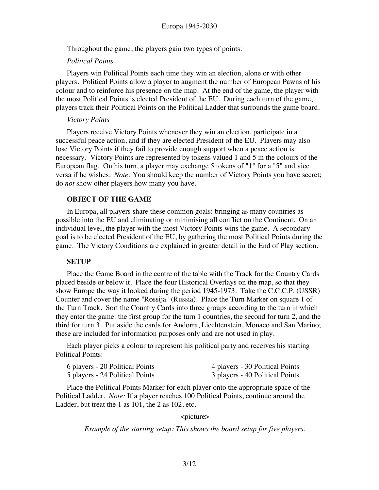Throughout the game, the players gain two types of points:

#### *Political Points*

Players win Political Points each time they win an election, alone or with other players. Political Points allow a player to augment the number of European Pawns of his colour and to reinforce his presence on the map. At the end of the game, the player with the most Political Points is elected President of the EU. During each turn of the game, players track their Political Points on the Political Ladder that surrounds the game board.

#### *Victory Points*

Players receive Victory Points whenever they win an election, participate in a successful peace action, and if they are elected President of the EU. Players may also lose Victory Points if they fail to provide enough support when a peace action is necessary. Victory Points are represented by tokens valued 1 and 5 in the colours of the European flag. On his turn, a player may exchange 5 tokens of "1" for a "5" and vice versa if he wishes. *Note:* You should keep the number of Victory Points you have secret; do *not* show other players how many you have.

## **OBJECT OF THE GAME**

In Europa, all players share these common goals: bringing as many countries as possible into the EU and eliminating or minimising all conflict on the Continent. On an individual level, the player with the most Victory Points wins the game. A secondary goal is to be elected President of the EU, by gathering the most Political Points during the game. The Victory Conditions are explained in greater detail in the End of Play section.

#### **SETUP**

Place the Game Board in the centre of the table with the Track for the Country Cards placed beside or below it. Place the four Historical Overlays on the map, so that they show Europe the way it looked during the period 1945-1973. Take the C.C.C.P. (USSR) Counter and cover the name "Rossija" (Russia). Place the Turn Marker on square 1 of the Turn Track. Sort the Country Cards into three groups according to the turn in which they enter the game: the first group for the turn 1 countries, the second for turn 2, and the third for turn 3. Put aside the cards for Andorra, Liechtenstein, Monaco and San Marino; these are included for information purposes only and are not used in play.

Each player picks a colour to represent his political party and receives his starting Political Points:

| 6 players - 20 Political Points | 4 players - 30 Political Points |
|---------------------------------|---------------------------------|
| 5 players - 24 Political Points | 3 players - 40 Political Points |

Place the Political Points Marker for each player onto the appropriate space of the Political Ladder. *Note:* If a player reaches 100 Political Points, continue around the Ladder, but treat the 1 as 101, the 2 as 102, etc.

#### <picture>

*Example of the starting setup: This shows the board setup for five players.*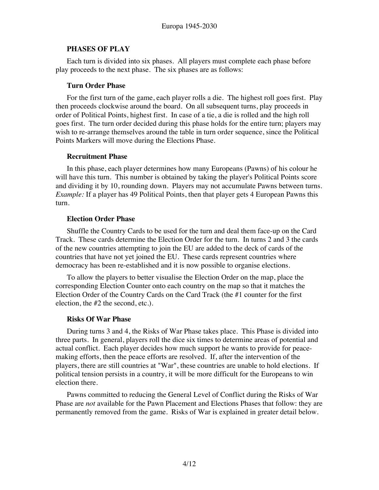## **PHASES OF PLAY**

Each turn is divided into six phases. All players must complete each phase before play proceeds to the next phase. The six phases are as follows:

## **Turn Order Phase**

For the first turn of the game, each player rolls a die. The highest roll goes first. Play then proceeds clockwise around the board. On all subsequent turns, play proceeds in order of Political Points, highest first. In case of a tie, a die is rolled and the high roll goes first. The turn order decided during this phase holds for the entire turn; players may wish to re-arrange themselves around the table in turn order sequence, since the Political Points Markers will move during the Elections Phase.

## **Recruitment Phase**

In this phase, each player determines how many Europeans (Pawns) of his colour he will have this turn. This number is obtained by taking the player's Political Points score and dividing it by 10, rounding down. Players may not accumulate Pawns between turns. *Example:* If a player has 49 Political Points, then that player gets 4 European Pawns this turn.

# **Election Order Phase**

Shuffle the Country Cards to be used for the turn and deal them face-up on the Card Track. These cards determine the Election Order for the turn. In turns 2 and 3 the cards of the new countries attempting to join the EU are added to the deck of cards of the countries that have not yet joined the EU. These cards represent countries where democracy has been re-established and it is now possible to organise elections.

To allow the players to better visualise the Election Order on the map, place the corresponding Election Counter onto each country on the map so that it matches the Election Order of the Country Cards on the Card Track (the #1 counter for the first election, the #2 the second, etc.).

# **Risks Of War Phase**

During turns 3 and 4, the Risks of War Phase takes place. This Phase is divided into three parts. In general, players roll the dice six times to determine areas of potential and actual conflict. Each player decides how much support he wants to provide for peacemaking efforts, then the peace efforts are resolved. If, after the intervention of the players, there are still countries at "War", these countries are unable to hold elections. If political tension persists in a country, it will be more difficult for the Europeans to win election there.

Pawns committed to reducing the General Level of Conflict during the Risks of War Phase are *not* available for the Pawn Placement and Elections Phases that follow: they are permanently removed from the game. Risks of War is explained in greater detail below.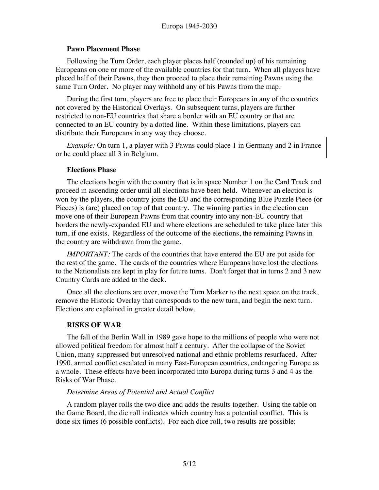## **Pawn Placement Phase**

Following the Turn Order, each player places half (rounded up) of his remaining Europeans on one or more of the available countries for that turn. When all players have placed half of their Pawns, they then proceed to place their remaining Pawns using the same Turn Order. No player may withhold any of his Pawns from the map.

During the first turn, players are free to place their Europeans in any of the countries not covered by the Historical Overlays. On subsequent turns, players are further restricted to non-EU countries that share a border with an EU country or that are connected to an EU country by a dotted line. Within these limitations, players can distribute their Europeans in any way they choose.

*Example:* On turn 1, a player with 3 Pawns could place 1 in Germany and 2 in France or he could place all 3 in Belgium.

## **Elections Phase**

The elections begin with the country that is in space Number 1 on the Card Track and proceed in ascending order until all elections have been held. Whenever an election is won by the players, the country joins the EU and the corresponding Blue Puzzle Piece (or Pieces) is (are) placed on top of that country. The winning parties in the election can move one of their European Pawns from that country into any non-EU country that borders the newly-expanded EU and where elections are scheduled to take place later this turn, if one exists. Regardless of the outcome of the elections, the remaining Pawns in the country are withdrawn from the game.

*IMPORTANT:* The cards of the countries that have entered the EU are put aside for the rest of the game. The cards of the countries where Europeans have lost the elections to the Nationalists are kept in play for future turns. Don't forget that in turns 2 and 3 new Country Cards are added to the deck.

Once all the elections are over, move the Turn Marker to the next space on the track, remove the Historic Overlay that corresponds to the new turn, and begin the next turn. Elections are explained in greater detail below.

# **RISKS OF WAR**

The fall of the Berlin Wall in 1989 gave hope to the millions of people who were not allowed political freedom for almost half a century. After the collapse of the Soviet Union, many suppressed but unresolved national and ethnic problems resurfaced. After 1990, armed conflict escalated in many East-European countries, endangering Europe as a whole. These effects have been incorporated into Europa during turns 3 and 4 as the Risks of War Phase.

# *Determine Areas of Potential and Actual Conflict*

A random player rolls the two dice and adds the results together. Using the table on the Game Board, the die roll indicates which country has a potential conflict. This is done six times (6 possible conflicts). For each dice roll, two results are possible: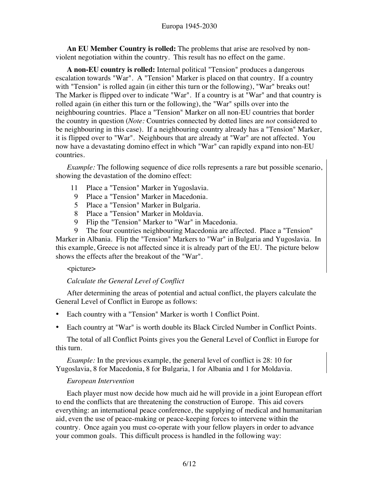**An EU Member Country is rolled:** The problems that arise are resolved by nonviolent negotiation within the country. This result has no effect on the game.

**A non-EU country is rolled:** Internal political "Tension" produces a dangerous escalation towards "War". A "Tension" Marker is placed on that country. If a country with "Tension" is rolled again (in either this turn or the following), "War" breaks out! The Marker is flipped over to indicate "War". If a country is at "War" and that country is rolled again (in either this turn or the following), the "War" spills over into the neighbouring countries. Place a "Tension" Marker on all non-EU countries that border the country in question (*Note:* Countries connected by dotted lines are *not* considered to be neighbouring in this case). If a neighbouring country already has a "Tension" Marker, it is flipped over to "War". Neighbours that are already at "War" are not affected. You now have a devastating domino effect in which "War" can rapidly expand into non-EU countries.

*Example:* The following sequence of dice rolls represents a rare but possible scenario, showing the devastation of the domino effect:

- 11 Place a "Tension" Marker in Yugoslavia.
- 9 Place a "Tension" Marker in Macedonia.
- 5 Place a "Tension" Marker in Bulgaria.
- 8 Place a "Tension" Marker in Moldavia.
- 9 Flip the "Tension" Marker to "War" in Macedonia.
- 9 The four countries neighbouring Macedonia are affected. Place a "Tension"

Marker in Albania. Flip the "Tension" Markers to "War" in Bulgaria and Yugoslavia. In this example, Greece is not affected since it is already part of the EU. The picture below shows the effects after the breakout of the "War".

#### <picture>

# *Calculate the General Level of Conflict*

After determining the areas of potential and actual conflict, the players calculate the General Level of Conflict in Europe as follows:

- Each country with a "Tension" Marker is worth 1 Conflict Point.
- Each country at "War" is worth double its Black Circled Number in Conflict Points.

The total of all Conflict Points gives you the General Level of Conflict in Europe for this turn.

*Example:* In the previous example, the general level of conflict is 28: 10 for Yugoslavia, 8 for Macedonia, 8 for Bulgaria, 1 for Albania and 1 for Moldavia.

# *European Intervention*

Each player must now decide how much aid he will provide in a joint European effort to end the conflicts that are threatening the construction of Europe. This aid covers everything: an international peace conference, the supplying of medical and humanitarian aid, even the use of peace-making or peace-keeping forces to intervene within the country. Once again you must co-operate with your fellow players in order to advance your common goals. This difficult process is handled in the following way: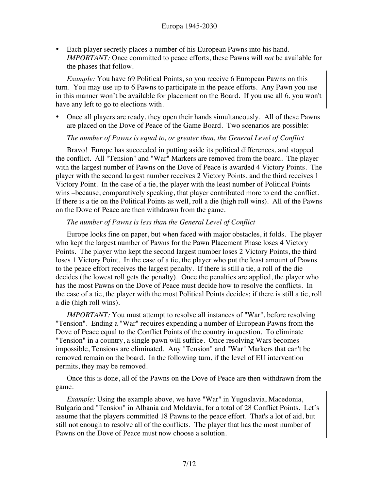• Each player secretly places a number of his European Pawns into his hand. *IMPORTANT:* Once committed to peace efforts, these Pawns will *not* be available for the phases that follow.

*Example:* You have 69 Political Points, so you receive 6 European Pawns on this turn. You may use up to 6 Pawns to participate in the peace efforts. Any Pawn you use in this manner won't be available for placement on the Board. If you use all 6, you won't have any left to go to elections with.

• Once all players are ready, they open their hands simultaneously. All of these Pawns are placed on the Dove of Peace of the Game Board. Two scenarios are possible:

*The number of Pawns is equal to, or greater than, the General Level of Conflict*

Bravo! Europe has succeeded in putting aside its political differences, and stopped the conflict. All "Tension" and "War" Markers are removed from the board. The player with the largest number of Pawns on the Dove of Peace is awarded 4 Victory Points. The player with the second largest number receives 2 Victory Points, and the third receives 1 Victory Point. In the case of a tie, the player with the least number of Political Points wins –because, comparatively speaking, that player contributed more to end the conflict. If there is a tie on the Political Points as well, roll a die (high roll wins). All of the Pawns on the Dove of Peace are then withdrawn from the game.

## *The number of Pawns is less than the General Level of Conflict*

Europe looks fine on paper, but when faced with major obstacles, it folds. The player who kept the largest number of Pawns for the Pawn Placement Phase loses 4 Victory Points. The player who kept the second largest number loses 2 Victory Points, the third loses 1 Victory Point. In the case of a tie, the player who put the least amount of Pawns to the peace effort receives the largest penalty. If there is still a tie, a roll of the die decides (the lowest roll gets the penalty). Once the penalties are applied, the player who has the most Pawns on the Dove of Peace must decide how to resolve the conflicts. In the case of a tie, the player with the most Political Points decides; if there is still a tie, roll a die (high roll wins).

*IMPORTANT:* You must attempt to resolve all instances of "War", before resolving "Tension". Ending a "War" requires expending a number of European Pawns from the Dove of Peace equal to the Conflict Points of the country in question. To eliminate "Tension" in a country, a single pawn will suffice. Once resolving Wars becomes impossible, Tensions are eliminated. Any "Tension" and "War" Markers that can't be removed remain on the board. In the following turn, if the level of EU intervention permits, they may be removed.

Once this is done, all of the Pawns on the Dove of Peace are then withdrawn from the game.

*Example:* Using the example above, we have "War" in Yugoslavia, Macedonia, Bulgaria and "Tension" in Albania and Moldavia, for a total of 28 Conflict Points. Let's assume that the players committed 18 Pawns to the peace effort. That's a lot of aid, but still not enough to resolve all of the conflicts. The player that has the most number of Pawns on the Dove of Peace must now choose a solution.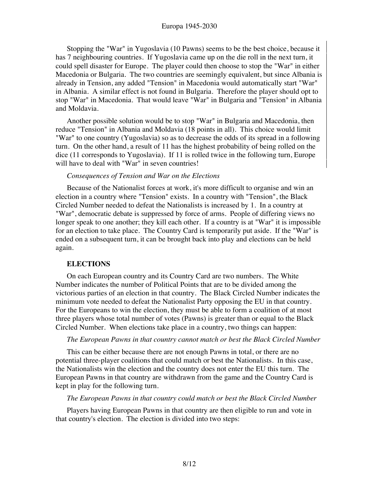#### Europa 1945-2030

Stopping the "War" in Yugoslavia (10 Pawns) seems to be the best choice, because it has 7 neighbouring countries. If Yugoslavia came up on the die roll in the next turn, it could spell disaster for Europe. The player could then choose to stop the "War" in either Macedonia or Bulgaria. The two countries are seemingly equivalent, but since Albania is already in Tension, any added "Tension" in Macedonia would automatically start "War" in Albania. A similar effect is not found in Bulgaria. Therefore the player should opt to stop "War" in Macedonia. That would leave "War" in Bulgaria and "Tension" in Albania and Moldavia.

Another possible solution would be to stop "War" in Bulgaria and Macedonia, then reduce "Tension" in Albania and Moldavia (18 points in all). This choice would limit "War" to one country (Yugoslavia) so as to decrease the odds of its spread in a following turn. On the other hand, a result of 11 has the highest probability of being rolled on the dice (11 corresponds to Yugoslavia). If 11 is rolled twice in the following turn, Europe will have to deal with "War" in seven countries!

#### *Consequences of Tension and War on the Elections*

Because of the Nationalist forces at work, it's more difficult to organise and win an election in a country where "Tension" exists. In a country with "Tension", the Black Circled Number needed to defeat the Nationalists is increased by 1. In a country at "War", democratic debate is suppressed by force of arms. People of differing views no longer speak to one another; they kill each other. If a country is at "War" it is impossible for an election to take place. The Country Card is temporarily put aside. If the "War" is ended on a subsequent turn, it can be brought back into play and elections can be held again.

#### **ELECTIONS**

On each European country and its Country Card are two numbers. The White Number indicates the number of Political Points that are to be divided among the victorious parties of an election in that country. The Black Circled Number indicates the minimum vote needed to defeat the Nationalist Party opposing the EU in that country. For the Europeans to win the election, they must be able to form a coalition of at most three players whose total number of votes (Pawns) is greater than or equal to the Black Circled Number. When elections take place in a country, two things can happen:

#### *The European Pawns in that country cannot match or best the Black Circled Number*

This can be either because there are not enough Pawns in total, or there are no potential three-player coalitions that could match or best the Nationalists. In this case, the Nationalists win the election and the country does not enter the EU this turn. The European Pawns in that country are withdrawn from the game and the Country Card is kept in play for the following turn.

#### *The European Pawns in that country could match or best the Black Circled Number*

Players having European Pawns in that country are then eligible to run and vote in that country's election. The election is divided into two steps: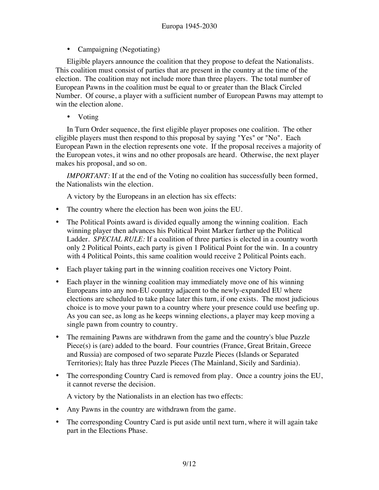• Campaigning (Negotiating)

Eligible players announce the coalition that they propose to defeat the Nationalists. This coalition must consist of parties that are present in the country at the time of the election. The coalition may not include more than three players. The total number of European Pawns in the coalition must be equal to or greater than the Black Circled Number. Of course, a player with a sufficient number of European Pawns may attempt to win the election alone.

• Voting

In Turn Order sequence, the first eligible player proposes one coalition. The other eligible players must then respond to this proposal by saying "Yes" or "No". Each European Pawn in the election represents one vote. If the proposal receives a majority of the European votes, it wins and no other proposals are heard. Otherwise, the next player makes his proposal, and so on.

*IMPORTANT:* If at the end of the Voting no coalition has successfully been formed, the Nationalists win the election.

A victory by the Europeans in an election has six effects:

- The country where the election has been won joins the EU.
- The Political Points award is divided equally among the winning coalition. Each winning player then advances his Political Point Marker farther up the Political Ladder. *SPECIAL RULE:* If a coalition of three parties is elected in a country worth only 2 Political Points, each party is given 1 Political Point for the win. In a country with 4 Political Points, this same coalition would receive 2 Political Points each.
- Each player taking part in the winning coalition receives one Victory Point.
- Each player in the winning coalition may immediately move one of his winning Europeans into any non-EU country adjacent to the newly-expanded EU where elections are scheduled to take place later this turn, if one exists. The most judicious choice is to move your pawn to a country where your presence could use beefing up. As you can see, as long as he keeps winning elections, a player may keep moving a single pawn from country to country.
- The remaining Pawns are withdrawn from the game and the country's blue Puzzle Piece(s) is (are) added to the board. Four countries (France, Great Britain, Greece and Russia) are composed of two separate Puzzle Pieces (Islands or Separated Territories); Italy has three Puzzle Pieces (The Mainland, Sicily and Sardinia).
- The corresponding Country Card is removed from play. Once a country joins the EU, it cannot reverse the decision.

A victory by the Nationalists in an election has two effects:

- Any Pawns in the country are withdrawn from the game.
- The corresponding Country Card is put aside until next turn, where it will again take part in the Elections Phase.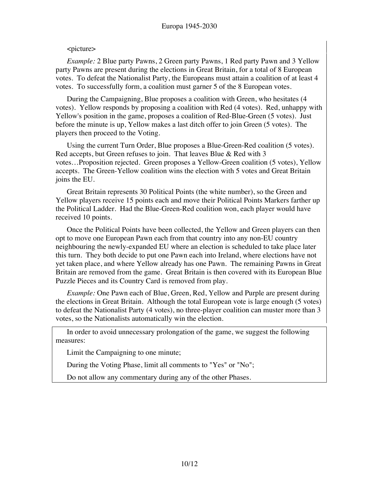## <picture>

*Example:* 2 Blue party Pawns, 2 Green party Pawns, 1 Red party Pawn and 3 Yellow party Pawns are present during the elections in Great Britain, for a total of 8 European votes. To defeat the Nationalist Party, the Europeans must attain a coalition of at least 4 votes. To successfully form, a coalition must garner 5 of the 8 European votes.

During the Campaigning, Blue proposes a coalition with Green, who hesitates (4 votes). Yellow responds by proposing a coalition with Red (4 votes). Red, unhappy with Yellow's position in the game, proposes a coalition of Red-Blue-Green (5 votes). Just before the minute is up, Yellow makes a last ditch offer to join Green (5 votes). The players then proceed to the Voting.

Using the current Turn Order, Blue proposes a Blue-Green-Red coalition (5 votes). Red accepts, but Green refuses to join. That leaves Blue & Red with 3 votes…Proposition rejected. Green proposes a Yellow-Green coalition (5 votes), Yellow accepts. The Green-Yellow coalition wins the election with 5 votes and Great Britain joins the EU.

Great Britain represents 30 Political Points (the white number), so the Green and Yellow players receive 15 points each and move their Political Points Markers farther up the Political Ladder. Had the Blue-Green-Red coalition won, each player would have received 10 points.

Once the Political Points have been collected, the Yellow and Green players can then opt to move one European Pawn each from that country into any non-EU country neighbouring the newly-expanded EU where an election is scheduled to take place later this turn. They both decide to put one Pawn each into Ireland, where elections have not yet taken place, and where Yellow already has one Pawn. The remaining Pawns in Great Britain are removed from the game. Great Britain is then covered with its European Blue Puzzle Pieces and its Country Card is removed from play.

*Example:* One Pawn each of Blue, Green, Red, Yellow and Purple are present during the elections in Great Britain. Although the total European vote is large enough (5 votes) to defeat the Nationalist Party (4 votes), no three-player coalition can muster more than 3 votes, so the Nationalists automatically win the election.

In order to avoid unnecessary prolongation of the game, we suggest the following measures:

Limit the Campaigning to one minute;

During the Voting Phase, limit all comments to "Yes" or "No";

Do not allow any commentary during any of the other Phases.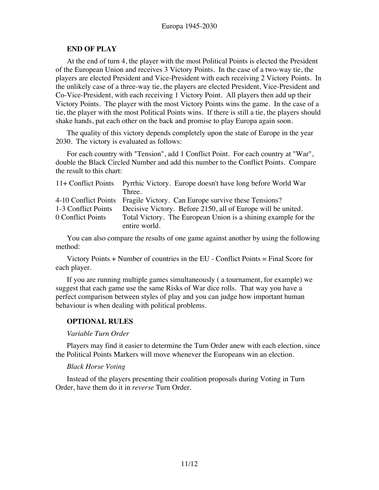#### **END OF PLAY**

At the end of turn 4, the player with the most Political Points is elected the President of the European Union and receives 3 Victory Points. In the case of a two-way tie, the players are elected President and Vice-President with each receiving 2 Victory Points. In the unlikely case of a three-way tie, the players are elected President, Vice-President and Co-Vice-President, with each receiving 1 Victory Point. All players then add up their Victory Points. The player with the most Victory Points wins the game. In the case of a tie, the player with the most Political Points wins. If there is still a tie, the players should shake hands, pat each other on the back and promise to play Europa again soon.

The quality of this victory depends completely upon the state of Europe in the year 2030. The victory is evaluated as follows:

For each country with "Tension", add 1 Conflict Point. For each country at "War", double the Black Circled Number and add this number to the Conflict Points. Compare the result to this chart:

|                     | 11+ Conflict Points Pyrrhic Victory. Europe doesn't have long before World War |
|---------------------|--------------------------------------------------------------------------------|
|                     | Three.                                                                         |
|                     | 4-10 Conflict Points Fragile Victory. Can Europe survive these Tensions?       |
| 1-3 Conflict Points | Decisive Victory. Before 2150, all of Europe will be united.                   |
| 0 Conflict Points   | Total Victory. The European Union is a shining example for the                 |
|                     | entire world.                                                                  |

You can also compare the results of one game against another by using the following method:

Victory Points + Number of countries in the EU - Conflict Points = Final Score for each player.

If you are running multiple games simultaneously ( a tournament, for example) we suggest that each game use the same Risks of War dice rolls. That way you have a perfect comparison between styles of play and you can judge how important human behaviour is when dealing with political problems.

# **OPTIONAL RULES**

#### *Variable Turn Order*

Players may find it easier to determine the Turn Order anew with each election, since the Political Points Markers will move whenever the Europeans win an election.

#### *Black Horse Voting*

Instead of the players presenting their coalition proposals during Voting in Turn Order, have them do it in *reverse* Turn Order.